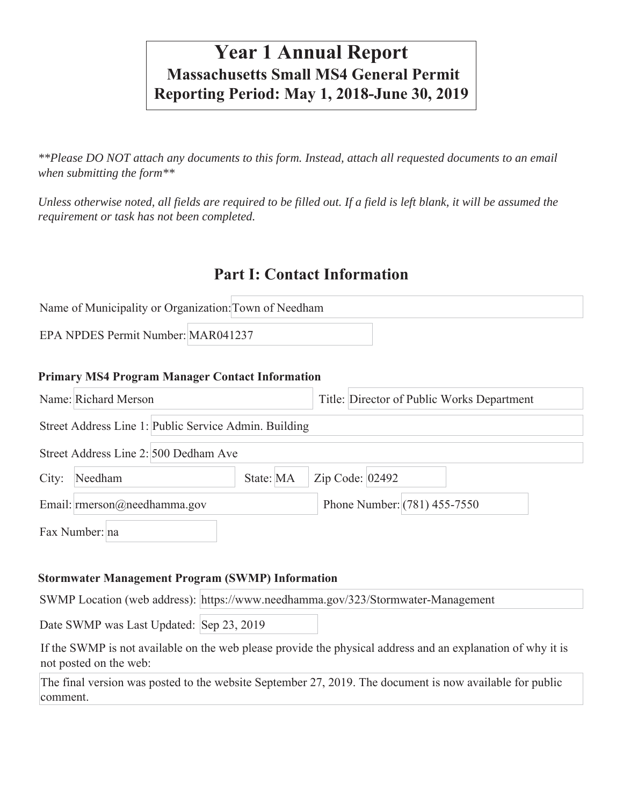# **Year 1 Annual Report Massachusetts Small MS4 General Permit Reporting Period: May 1, 2018-June 30, 2019**

*\*\*Please DO NOT attach any documents to this form. Instead, attach all requested documents to an email when submitting the form\*\** 

*Unless otherwise noted, all fields are required to be filled out. If a field is left blank, it will be assumed the requirement or task has not been completed.*

## **Part I: Contact Information**

| Name of Municipality or Organization: Town of Needham |  |
|-------------------------------------------------------|--|
| EPA NPDES Permit Number: MAR041237                    |  |

#### **Primary MS4 Program Manager Contact Information**

|                                       | Name: Richard Merson                                  | Title: Director of Public Works Department |  |  |  |
|---------------------------------------|-------------------------------------------------------|--------------------------------------------|--|--|--|
|                                       | Street Address Line 1: Public Service Admin. Building |                                            |  |  |  |
| Street Address Line 2: 500 Dedham Ave |                                                       |                                            |  |  |  |
| City:                                 | State: MA<br>Needham                                  | Zip Code: 02492                            |  |  |  |
|                                       | Email: $rmerson@needhamma.gov$                        | Phone Number: (781) 455-7550               |  |  |  |
|                                       | Fax Number: na                                        |                                            |  |  |  |

#### **Stormwater Management Program (SWMP) Information**

SWMP Location (web address): https://www.needhamma.gov/323/Stormwater-Management

Date SWMP was Last Updated: Sep 23, 2019

If the SWMP is not available on the web please provide the physical address and an explanation of why it is not posted on the web:

The final version was posted to the website September 27, 2019. The document is now available for public comment.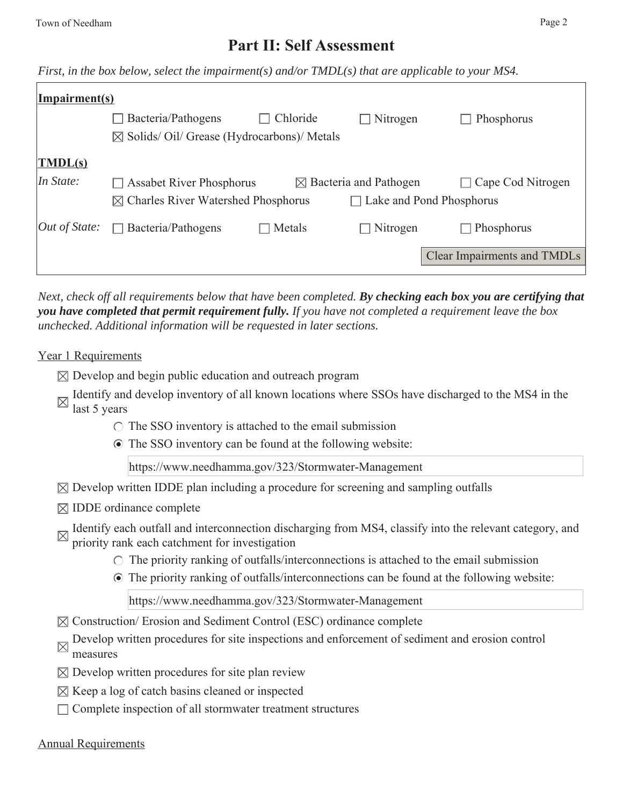## **Part II: Self Assessment**

*First, in the box below, select the impairment(s) and/or TMDL(s) that are applicable to your MS4.*

| $\mathbf{Impairment(s)}$          |                                                       |          |                                    |                                    |
|-----------------------------------|-------------------------------------------------------|----------|------------------------------------|------------------------------------|
|                                   | Bacteria/Pathogens                                    | Chloride | Nitrogen                           | Phosphorus                         |
|                                   | $\boxtimes$ Solids/Oil/ Grease (Hydrocarbons)/ Metals |          |                                    |                                    |
| $\vert \overline{\text{IMDL(s)}}$ |                                                       |          |                                    |                                    |
| In State:                         | <b>Assabet River Phosphorus</b>                       |          | $\boxtimes$ Bacteria and Pathogen  | Cape Cod Nitrogen                  |
|                                   | $\boxtimes$ Charles River Watershed Phosphorus        |          | Lake and Pond Phosphorus<br>$\Box$ |                                    |
| $\int Out$ of State:              | $\Box$ Bacteria/Pathogens                             | Metals   | $\Box$ Nitrogen                    | Phosphorus                         |
|                                   |                                                       |          |                                    | <b>Clear Impairments and TMDLs</b> |

*Next, check off all requirements below that have been completed. By checking each box you are certifying that you have completed that permit requirement fully. If you have not completed a requirement leave the box unchecked. Additional information will be requested in later sections.* 

#### Year 1 Requirements

- $\boxtimes$  Develop and begin public education and outreach program
- Identify and develop inventory of all known locations where SSOs have discharged to the MS4 in the last 5 years
	- $\circ$  The SSO inventory is attached to the email submission
	- The SSO inventory can be found at the following website:

https://www.needhamma.gov/323/Stormwater-Management

- $\boxtimes$  Develop written IDDE plan including a procedure for screening and sampling outfalls
- $\boxtimes$  IDDE ordinance complete
- Identify each outfall and interconnection discharging from MS4, classify into the relevant category, and priority reals as the state of  $\mathbb{R}$ . priority rank each catchment for investigation
	- $\circ$  The priority ranking of outfalls/interconnections is attached to the email submission
		- The priority ranking of outfalls/interconnections can be found at the following website:

https://www.needhamma.gov/323/Stormwater-Management

- $\boxtimes$  Construction/ Erosion and Sediment Control (ESC) ordinance complete
- Develop written procedures for site inspections and enforcement of sediment and erosion control measures
- $\boxtimes$  Develop written procedures for site plan review
- $\boxtimes$  Keep a log of catch basins cleaned or inspected
- $\Box$  Complete inspection of all stormwater treatment structures

#### Annual Requirements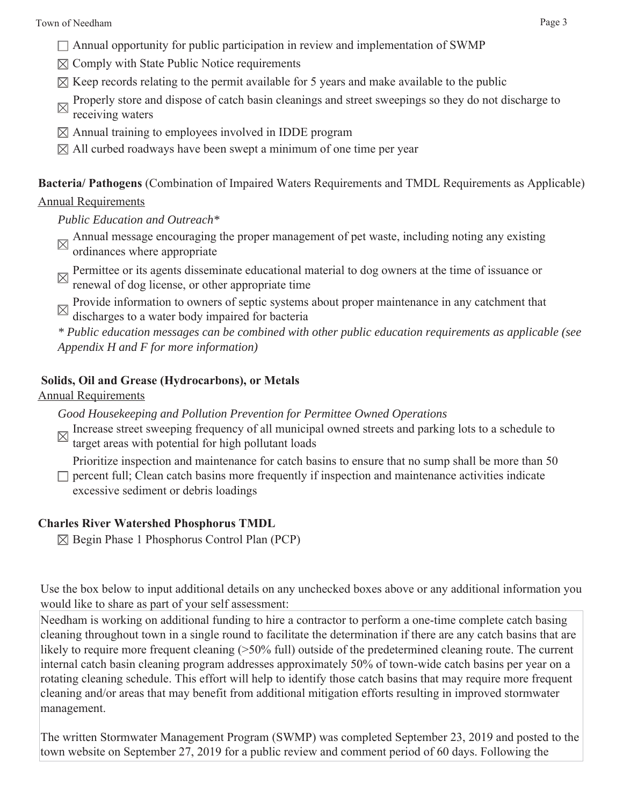- $\Box$  Annual opportunity for public participation in review and implementation of SWMP
- $\boxtimes$  Comply with State Public Notice requirements
- $\boxtimes$  Keep records relating to the permit available for 5 years and make available to the public
- Properly store and dispose of catch basin cleanings and street sweepings so they do not discharge to receiving waters
- $\boxtimes$  Annual training to employees involved in IDDE program
- $\boxtimes$  All curbed roadways have been swept a minimum of one time per year

**Bacteria/ Pathogens** (Combination of Impaired Waters Requirements and TMDL Requirements as Applicable)

#### Annual Requirements

*Public Education and Outreach\**

- Annual message encouraging the proper management of pet waste, including noting any existing ordinances where appropriate
- Permittee or its agents disseminate educational material to dog owners at the time of issuance or renewal of dog license, or other appropriate time
- Provide information to owners of septic systems about proper maintenance in any catchment that discharges to a water body impaired for bacteria

*\* Public education messages can be combined with other public education requirements as applicable (see Appendix H and F for more information)*

#### **Solids, Oil and Grease (Hydrocarbons), or Metals**

Annual Requirements

*Good Housekeeping and Pollution Prevention for Permittee Owned Operations*

- Increase street sweeping frequency of all municipal owned streets and parking lots to a schedule to target areas with potential for high-set  $\mathbb{R}^n$
- target areas with potential for high pollutant loads

Prioritize inspection and maintenance for catch basins to ensure that no sump shall be more than 50

 $\Box$  percent full; Clean catch basins more frequently if inspection and maintenance activities indicate excessive sediment or debris loadings

#### **Charles River Watershed Phosphorus TMDL**

 $\boxtimes$  Begin Phase 1 Phosphorus Control Plan (PCP)

Use the box below to input additional details on any unchecked boxes above or any additional information you would like to share as part of your self assessment:

Needham is working on additional funding to hire a contractor to perform a one-time complete catch basing cleaning throughout town in a single round to facilitate the determination if there are any catch basins that are likely to require more frequent cleaning (>50% full) outside of the predetermined cleaning route. The current internal catch basin cleaning program addresses approximately 50% of town-wide catch basins per year on a rotating cleaning schedule. This effort will help to identify those catch basins that may require more frequent cleaning and/or areas that may benefit from additional mitigation efforts resulting in improved stormwater management.

The written Stormwater Management Program (SWMP) was completed September 23, 2019 and posted to the town website on September 27, 2019 for a public review and comment period of 60 days. Following the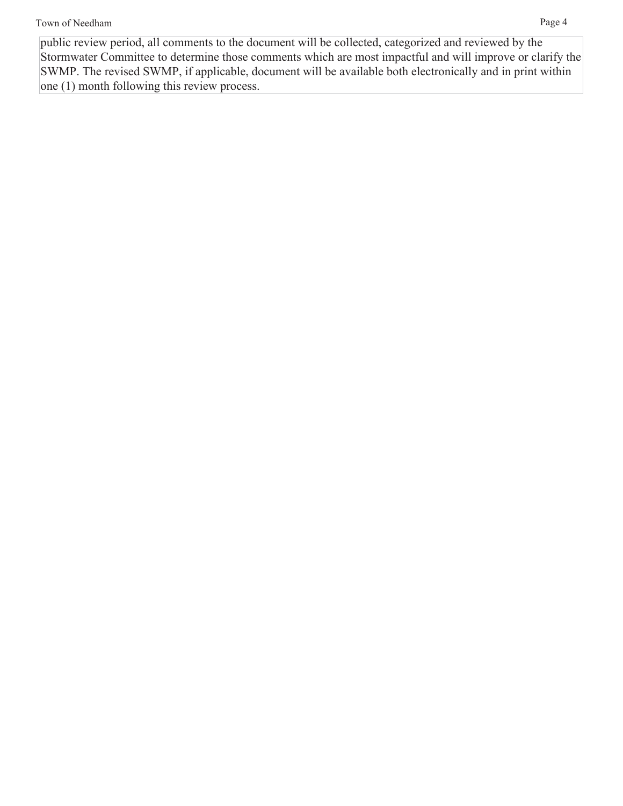public review period, all comments to the document will be collected, categorized and reviewed by the Stormwater Committee to determine those comments which are most impactful and will improve or clarify the SWMP. The revised SWMP, if applicable, document will be available both electronically and in print within one (1) month following this review process.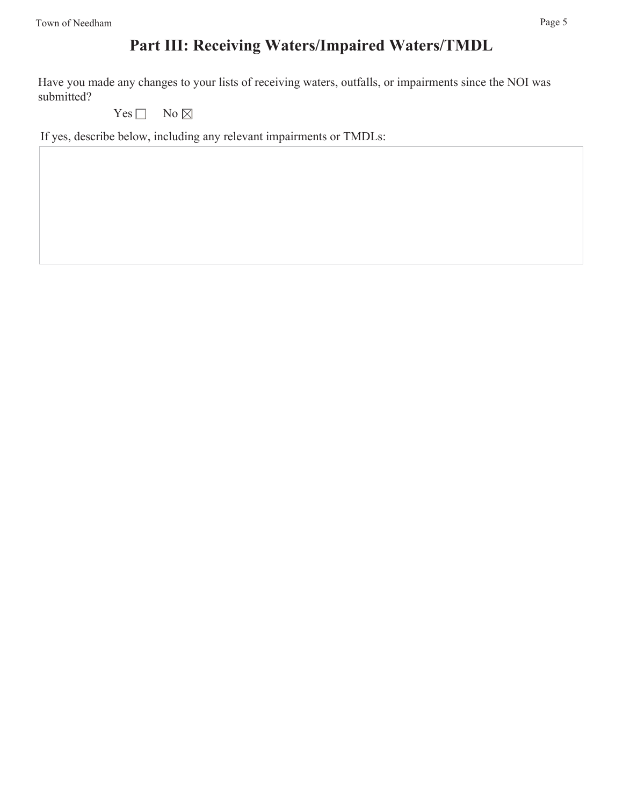Have you made any changes to your lists of receiving waters, outfalls, or impairments since the NOI was submitted?

Yes  $\Box$  No  $\boxtimes$ 

If yes, describe below, including any relevant impairments or TMDLs: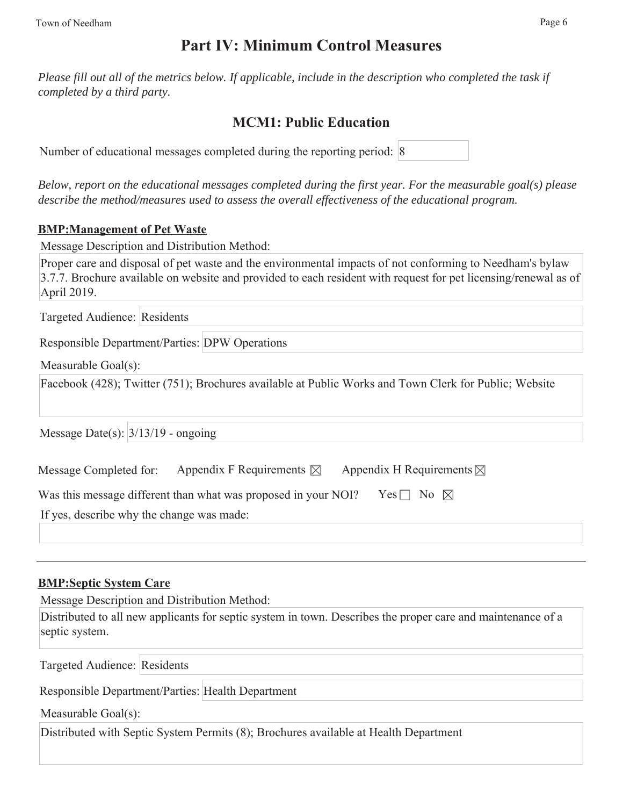## **Part IV: Minimum Control Measures**

*Please fill out all of the metrics below. If applicable, include in the description who completed the task if completed by a third party.* 

## **MCM1: Public Education**

Number of educational messages completed during the reporting period: 8

*Below, report on the educational messages completed during the first year. For the measurable goal(s) please describe the method/measures used to assess the overall effectiveness of the educational program.*

#### **BMP:Management of Pet Waste**

Message Description and Distribution Method:

Proper care and disposal of pet waste and the environmental impacts of not conforming to Needham's bylaw 3.7.7. Brochure available on website and provided to each resident with request for pet licensing/renewal as of April 2019.

Targeted Audience: Residents

Responsible Department/Parties: DPW Operations

Measurable Goal(s):

Facebook (428); Twitter (751); Brochures available at Public Works and Town Clerk for Public; Website

Message Date(s):  $\frac{3}{13/19}$  - ongoing

| Message Completed for: | Appendix F Requirements $\boxtimes$ | Appendix H Requirements $\boxtimes$ |
|------------------------|-------------------------------------|-------------------------------------|
|------------------------|-------------------------------------|-------------------------------------|

| Was this message different than what was proposed in your NOI? Yes $\square$ No $\boxtimes$ |  |
|---------------------------------------------------------------------------------------------|--|
|                                                                                             |  |

If yes, describe why the change was made:

#### **BMP:Septic System Care**

Message Description and Distribution Method:

Distributed to all new applicants for septic system in town. Describes the proper care and maintenance of a septic system.

Targeted Audience: Residents

Responsible Department/Parties: Health Department

Measurable Goal(s):

Distributed with Septic System Permits (8); Brochures available at Health Department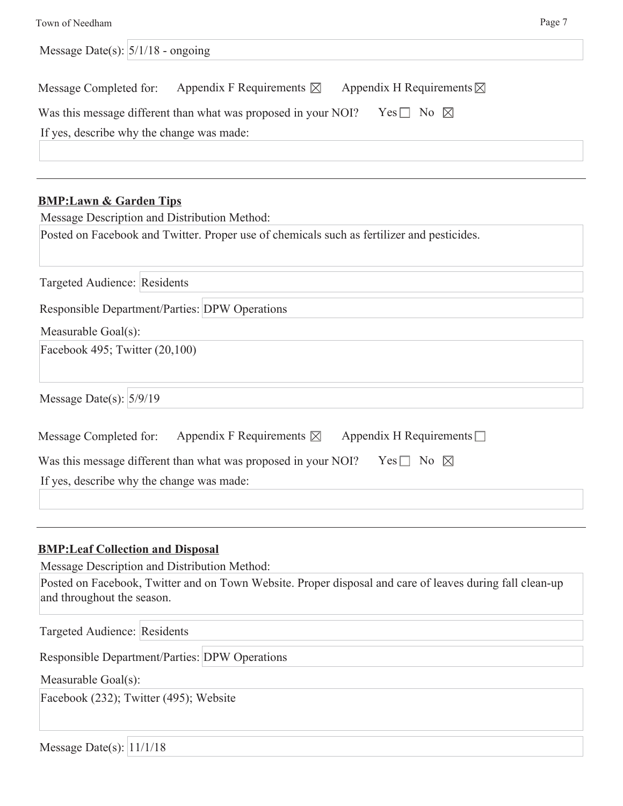| Message Date(s): $\frac{5}{118}$ - ongoing                                                     |
|------------------------------------------------------------------------------------------------|
| Message Completed for: Appendix F Requirements $\boxtimes$ Appendix H Requirements $\boxtimes$ |
| Was this message different than what was proposed in your NOI? Yes $\Box$ No $\boxtimes$       |
| If yes, describe why the change was made:                                                      |
|                                                                                                |
| <b>BMP:Lawn &amp; Garden Tips</b><br>Message Description and Distribution Method:              |
| Posted on Facebook and Twitter. Proper use of chemicals such as fertilizer and pesticides.     |
|                                                                                                |
| Targeted Audience: Residents                                                                   |
| <b>Responsible Department/Parties: DPW Operations</b>                                          |
| Measurable Goal(s):                                                                            |
| Facebook 495; Twitter (20,100)                                                                 |
|                                                                                                |

Message Date(s):  $5/9/19$ 

| Message Completed for:                    | Appendix F Requirements $\boxtimes$                            | Appendix H Requirements $\Box$ |  |
|-------------------------------------------|----------------------------------------------------------------|--------------------------------|--|
|                                           | Was this message different than what was proposed in your NOI? | Yes $\Box$ No $\boxtimes$      |  |
| If yes, describe why the change was made: |                                                                |                                |  |

#### **BMP:Leaf Collection and Disposal**

Message Description and Distribution Method:

Posted on Facebook, Twitter and on Town Website. Proper disposal and care of leaves during fall clean-up and throughout the season.

Targeted Audience: Residents Responsible Department/Parties: DPW Operations Measurable Goal(s): Facebook (232); Twitter (495); Website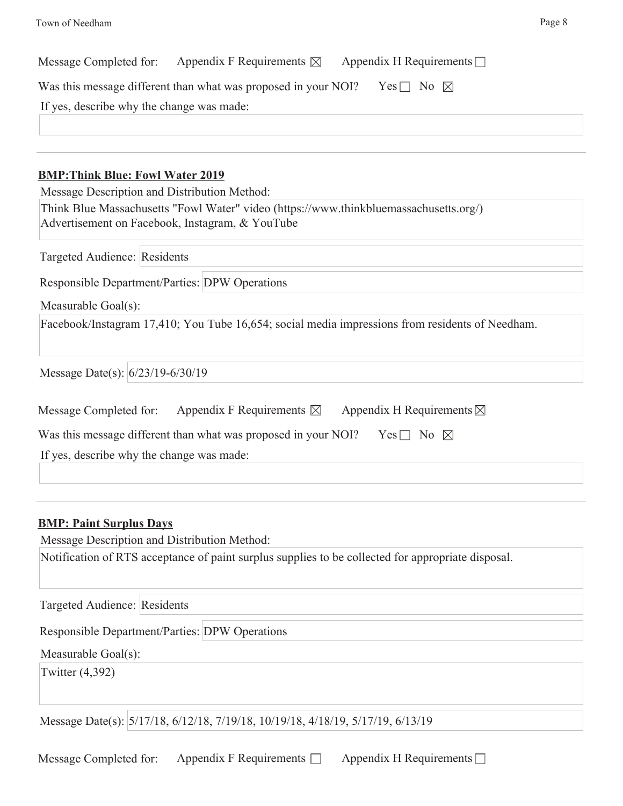| Appendix F Requirements $\boxtimes$<br>Appendix H Requirements $\Box$<br>Message Completed for:   |  |  |  |  |
|---------------------------------------------------------------------------------------------------|--|--|--|--|
| Was this message different than what was proposed in your NOI?<br>Yes $\Box$ No $\boxtimes$       |  |  |  |  |
| If yes, describe why the change was made:                                                         |  |  |  |  |
|                                                                                                   |  |  |  |  |
|                                                                                                   |  |  |  |  |
| <b>BMP: Think Blue: Fowl Water 2019</b>                                                           |  |  |  |  |
| Message Description and Distribution Method:                                                      |  |  |  |  |
| Think Blue Massachusetts "Fowl Water" video (https://www.thinkbluemassachusetts.org/)             |  |  |  |  |
| Advertisement on Facebook, Instagram, & YouTube                                                   |  |  |  |  |
| Targeted Audience: Residents                                                                      |  |  |  |  |
| Responsible Department/Parties: DPW Operations                                                    |  |  |  |  |
| Measurable Goal(s):                                                                               |  |  |  |  |
| Facebook/Instagram 17,410; You Tube 16,654; social media impressions from residents of Needham.   |  |  |  |  |
| Message Date(s): 6/23/19-6/30/19                                                                  |  |  |  |  |
| Appendix F Requirements $\boxtimes$ Appendix H Requirements $\boxtimes$<br>Message Completed for: |  |  |  |  |
| Was this message different than what was proposed in your NOI?<br>Yes $\Box$ No $\boxtimes$       |  |  |  |  |
|                                                                                                   |  |  |  |  |
| If yes, describe why the change was made:                                                         |  |  |  |  |
|                                                                                                   |  |  |  |  |
|                                                                                                   |  |  |  |  |

### **BMP: Paint Surplus Days**

Message Description and Distribution Method:

Notification of RTS acceptance of paint surplus supplies to be collected for appropriate disposal.

Targeted Audience: Residents

Responsible Department/Parties: DPW Operations

Measurable Goal(s):

Twitter (4,392)

Message Date(s): 5/17/18, 6/12/18, 7/19/18, 10/19/18, 4/18/19, 5/17/19, 6/13/19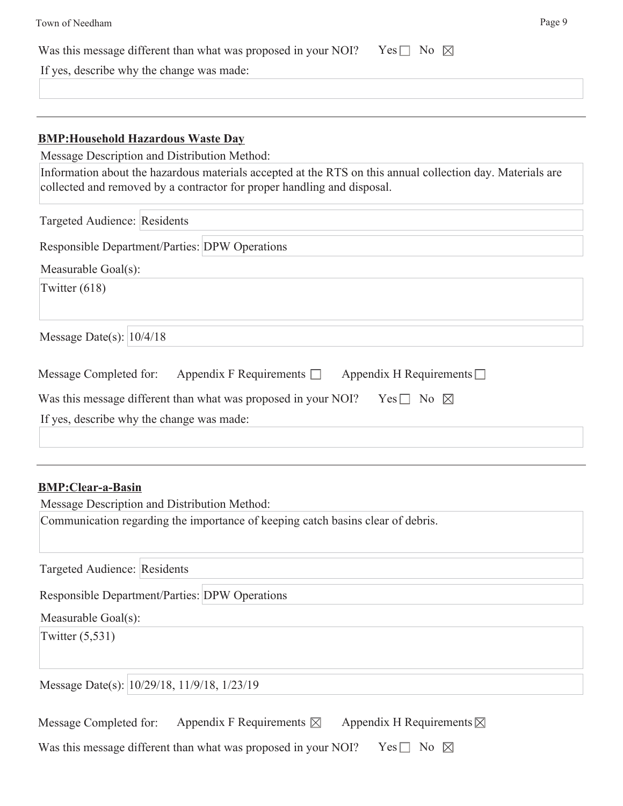| Town of Needham                                                                                                                                                                       | Page 9 |
|---------------------------------------------------------------------------------------------------------------------------------------------------------------------------------------|--------|
| Was this message different than what was proposed in your NOI?<br>No $\boxtimes$<br>$Yes \perp$                                                                                       |        |
| If yes, describe why the change was made:                                                                                                                                             |        |
|                                                                                                                                                                                       |        |
|                                                                                                                                                                                       |        |
| <b>BMP: Household Hazardous Waste Day</b>                                                                                                                                             |        |
| Message Description and Distribution Method:                                                                                                                                          |        |
| Information about the hazardous materials accepted at the RTS on this annual collection day. Materials are<br>collected and removed by a contractor for proper handling and disposal. |        |

| Targeted Audience: Residents                                                             |
|------------------------------------------------------------------------------------------|
| <b>Responsible Department/Parties: DPW Operations</b>                                    |
| Measurable Goal(s):                                                                      |
| Twitter $(618)$                                                                          |
| Message Date(s): $10/4/18$                                                               |
| Appendix F Requirements $\Box$ Appendix H Requirements $\Box$<br>Message Completed for:  |
| Was this message different than what was proposed in your NOI? Yes $\Box$ No $\boxtimes$ |
| If yes, describe why the change was made:                                                |
|                                                                                          |

#### **BMP:Clear-a-Basin**

| Message Description and Distribution Method:                                                         |
|------------------------------------------------------------------------------------------------------|
| Communication regarding the importance of keeping catch basins clear of debris.                      |
| Targeted Audience: Residents                                                                         |
| <b>Responsible Department/Parties: DPW Operations</b>                                                |
| Measurable Goal(s):                                                                                  |
| Twitter $(5,531)$                                                                                    |
| Message Date(s): 10/29/18, 11/9/18, 1/23/19                                                          |
| Appendix F Requirements $\boxtimes$<br>Appendix H Requirements $\boxtimes$<br>Message Completed for: |
| Yes $\Box$ No $\boxtimes$<br>Was this message different than what was proposed in your NOI?          |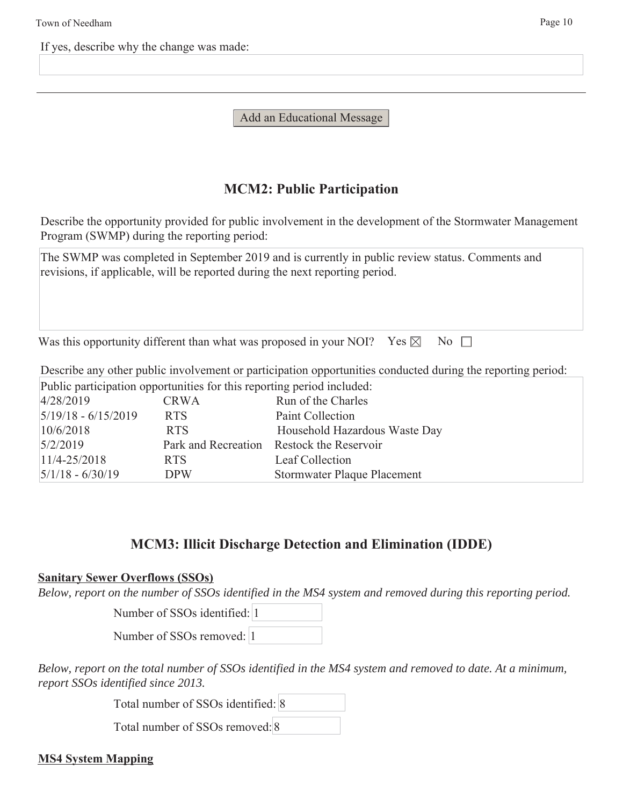If yes, describe why the change was made:

Add an Educational Message

## **MCM2: Public Participation**

Describe the opportunity provided for public involvement in the development of the Stormwater Management Program (SWMP) during the reporting period:

The SWMP was completed in September 2019 and is currently in public review status. Comments and revisions, if applicable, will be reported during the next reporting period.

Was this opportunity different than what was proposed in your NOI? Yes  $\boxtimes$  No  $\Box$ 

Describe any other public involvement or participation opportunities conducted during the reporting period:

Public participation opportunities for this reporting period included:

| 4/28/2019                 | <b>CRWA</b> | Run of the Charles                        |
|---------------------------|-------------|-------------------------------------------|
| $5/19/18 - 6/15/2019$     | <b>RTS</b>  | Paint Collection                          |
| 10/6/2018                 | RTS.        | Household Hazardous Waste Day             |
| 5/2/2019                  |             | Park and Recreation Restock the Reservoir |
| $11/4 - 25/2018$          | RTS.        | Leaf Collection                           |
| $\frac{5}{1/8}$ - 6/30/19 | <b>DPW</b>  | Stormwater Plaque Placement               |

## **MCM3: Illicit Discharge Detection and Elimination (IDDE)**

#### **Sanitary Sewer Overflows (SSOs)**

*Below, report on the number of SSOs identified in the MS4 system and removed during this reporting period.*

Number of SSOs identified: 1

Number of SSOs removed: 1

*Below, report on the total number of SSOs identified in the MS4 system and removed to date. At a minimum, report SSOs identified since 2013.*

Total number of SSOs identified: 8

Total number of SSOs removed: 8

### **MS4 System Mapping**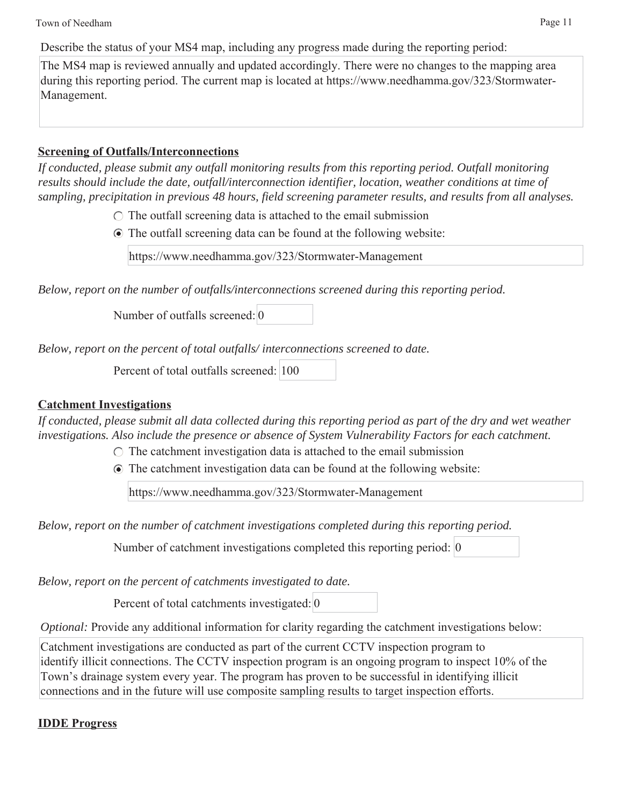Town of Needham Page 11

Describe the status of your MS4 map, including any progress made during the reporting period:

The MS4 map is reviewed annually and updated accordingly. There were no changes to the mapping area during this reporting period. The current map is located at https://www.needhamma.gov/323/Stormwater-Management.

## **Screening of Outfalls/Interconnections**

*If conducted, please submit any outfall monitoring results from this reporting period. Outfall monitoring results should include the date, outfall/interconnection identifier, location, weather conditions at time of sampling, precipitation in previous 48 hours, field screening parameter results, and results from all analyses.*

 $\circ$  The outfall screening data is attached to the email submission

The outfall screening data can be found at the following website:

https://www.needhamma.gov/323/Stormwater-Management

*Below, report on the number of outfalls/interconnections screened during this reporting period.*

Number of outfalls screened: 0

*Below, report on the percent of total outfalls/ interconnections screened to date.*

Percent of total outfalls screened: 100

## **Catchment Investigations**

*If conducted, please submit all data collected during this reporting period as part of the dry and wet weather investigations. Also include the presence or absence of System Vulnerability Factors for each catchment.*

 $\circ$  The catchment investigation data is attached to the email submission

The catchment investigation data can be found at the following website:

https://www.needhamma.gov/323/Stormwater-Management

*Below, report on the number of catchment investigations completed during this reporting period.*

Number of catchment investigations completed this reporting period: 0

*Below, report on the percent of catchments investigated to date.*

Percent of total catchments investigated: 0

*Optional:* Provide any additional information for clarity regarding the catchment investigations below:

Catchment investigations are conducted as part of the current CCTV inspection program to identify illicit connections. The CCTV inspection program is an ongoing program to inspect 10% of the Town's drainage system every year. The program has proven to be successful in identifying illicit connections and in the future will use composite sampling results to target inspection efforts.

## **IDDE Progress**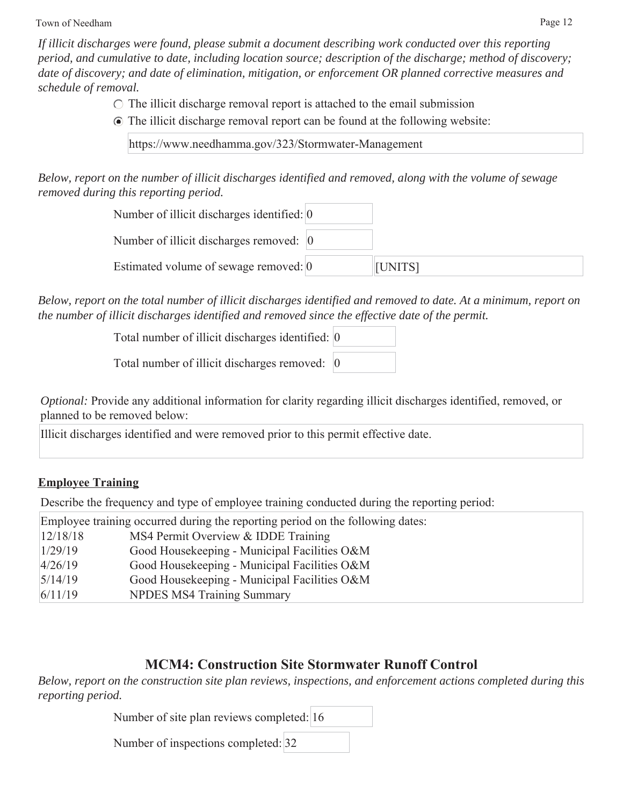Town of Needham Page 12

*If illicit discharges were found, please submit a document describing work conducted over this reporting period, and cumulative to date, including location source; description of the discharge; method of discovery; date of discovery; and date of elimination, mitigation, or enforcement OR planned corrective measures and schedule of removal.*

- $\circ$  The illicit discharge removal report is attached to the email submission
- The illicit discharge removal report can be found at the following website:

https://www.needhamma.gov/323/Stormwater-Management

*Below, report on the number of illicit discharges identified and removed, along with the volume of sewage removed during this reporting period.*

| Number of illicit discharges identified: $ 0\rangle$ |         |
|------------------------------------------------------|---------|
| Number of illicit discharges removed: 0              |         |
| Estimated volume of sewage removed: 0                | [UNITS] |

*Below, report on the total number of illicit discharges identified and removed to date. At a minimum, report on the number of illicit discharges identified and removed since the effective date of the permit.*

Total number of illicit discharges identified: 0

Total number of illicit discharges removed: 0

*Optional:* Provide any additional information for clarity regarding illicit discharges identified, removed, or planned to be removed below:

Illicit discharges identified and were removed prior to this permit effective date.

### **Employee Training**

Describe the frequency and type of employee training conducted during the reporting period:

Employee training occurred during the reporting period on the following dates:

| 12/18/18 | MS4 Permit Overview & IDDE Training          |
|----------|----------------------------------------------|
| 1/29/19  | Good Housekeeping - Municipal Facilities O&M |
| 4/26/19  | Good Housekeeping - Municipal Facilities O&M |
| 5/14/19  | Good Housekeeping - Municipal Facilities O&M |
| 6/11/19  | <b>NPDES MS4 Training Summary</b>            |

## **MCM4: Construction Site Stormwater Runoff Control**

*Below, report on the construction site plan reviews, inspections, and enforcement actions completed during this reporting period.*

|  |  | Number of site plan reviews completed: 16 |  |
|--|--|-------------------------------------------|--|
|  |  |                                           |  |

Number of inspections completed: 32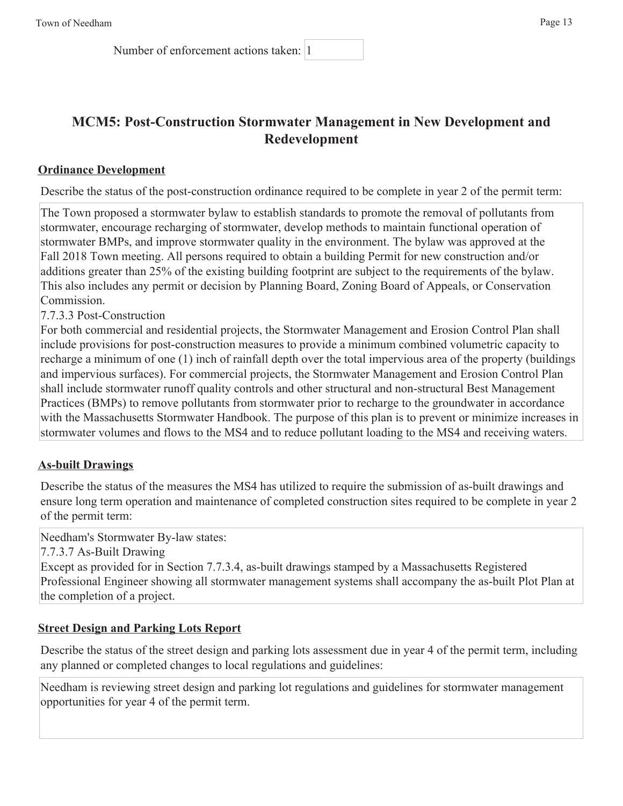Number of enforcement actions taken: 1

## **MCM5: Post-Construction Stormwater Management in New Development and Redevelopment**

#### **Ordinance Development**

Describe the status of the post-construction ordinance required to be complete in year 2 of the permit term:

The Town proposed a stormwater bylaw to establish standards to promote the removal of pollutants from stormwater, encourage recharging of stormwater, develop methods to maintain functional operation of stormwater BMPs, and improve stormwater quality in the environment. The bylaw was approved at the Fall 2018 Town meeting. All persons required to obtain a building Permit for new construction and/or additions greater than 25% of the existing building footprint are subject to the requirements of the bylaw. This also includes any permit or decision by Planning Board, Zoning Board of Appeals, or Conservation Commission.

7.7.3.3 Post-Construction

For both commercial and residential projects, the Stormwater Management and Erosion Control Plan shall include provisions for post-construction measures to provide a minimum combined volumetric capacity to recharge a minimum of one (1) inch of rainfall depth over the total impervious area of the property (buildings and impervious surfaces). For commercial projects, the Stormwater Management and Erosion Control Plan shall include stormwater runoff quality controls and other structural and non-structural Best Management Practices (BMPs) to remove pollutants from stormwater prior to recharge to the groundwater in accordance with the Massachusetts Stormwater Handbook. The purpose of this plan is to prevent or minimize increases in stormwater volumes and flows to the MS4 and to reduce pollutant loading to the MS4 and receiving waters.

#### **As-built Drawings**

Describe the status of the measures the MS4 has utilized to require the submission of as-built drawings and ensure long term operation and maintenance of completed construction sites required to be complete in year 2 of the permit term:

Needham's Stormwater By-law states:

7.7.3.7 As-Built Drawing

Except as provided for in Section 7.7.3.4, as-built drawings stamped by a Massachusetts Registered Professional Engineer showing all stormwater management systems shall accompany the as-built Plot Plan at the completion of a project.

#### **Street Design and Parking Lots Report**

Describe the status of the street design and parking lots assessment due in year 4 of the permit term, including any planned or completed changes to local regulations and guidelines:

Needham is reviewing street design and parking lot regulations and guidelines for stormwater management opportunities for year 4 of the permit term.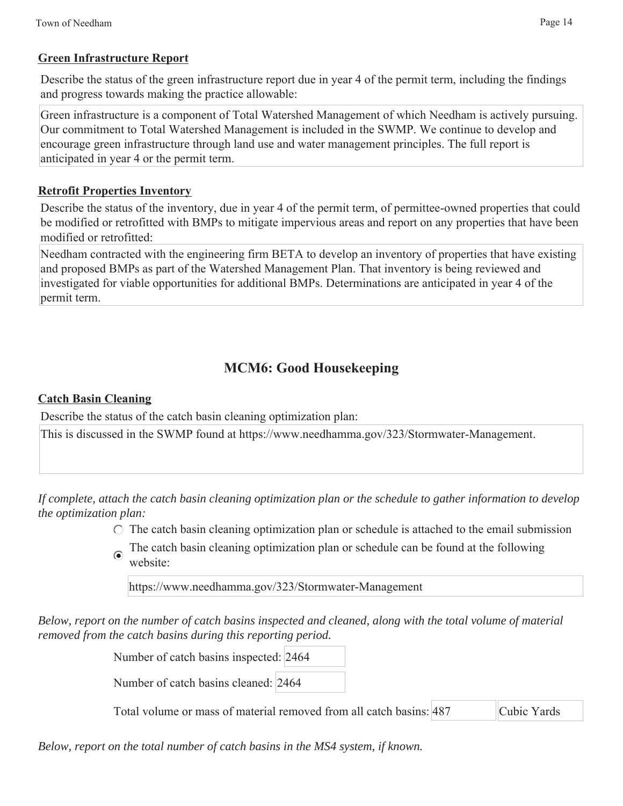#### **Green Infrastructure Report**

Describe the status of the green infrastructure report due in year 4 of the permit term, including the findings and progress towards making the practice allowable:

Green infrastructure is a component of Total Watershed Management of which Needham is actively pursuing. Our commitment to Total Watershed Management is included in the SWMP. We continue to develop and encourage green infrastructure through land use and water management principles. The full report is anticipated in year 4 or the permit term.

#### **Retrofit Properties Inventory**

Describe the status of the inventory, due in year 4 of the permit term, of permittee-owned properties that could be modified or retrofitted with BMPs to mitigate impervious areas and report on any properties that have been modified or retrofitted:

Needham contracted with the engineering firm BETA to develop an inventory of properties that have existing and proposed BMPs as part of the Watershed Management Plan. That inventory is being reviewed and investigated for viable opportunities for additional BMPs. Determinations are anticipated in year 4 of the permit term.

## **MCM6: Good Housekeeping**

#### **Catch Basin Cleaning**

Describe the status of the catch basin cleaning optimization plan:

This is discussed in the SWMP found at https://www.needhamma.gov/323/Stormwater-Management.

*If complete, attach the catch basin cleaning optimization plan or the schedule to gather information to develop the optimization plan:*

 $\circ$  The catch basin cleaning optimization plan or schedule is attached to the email submission

The catch basin cleaning optimization plan or schedule can be found at the following website:

https://www.needhamma.gov/323/Stormwater-Management

*Below, report on the number of catch basins inspected and cleaned, along with the total volume of material removed from the catch basins during this reporting period.*

Number of catch basins inspected: 2464

Number of catch basins cleaned: 2464

Total volume or mass of material removed from all catch basins: 487 Cubic Yards

*Below, report on the total number of catch basins in the MS4 system, if known.*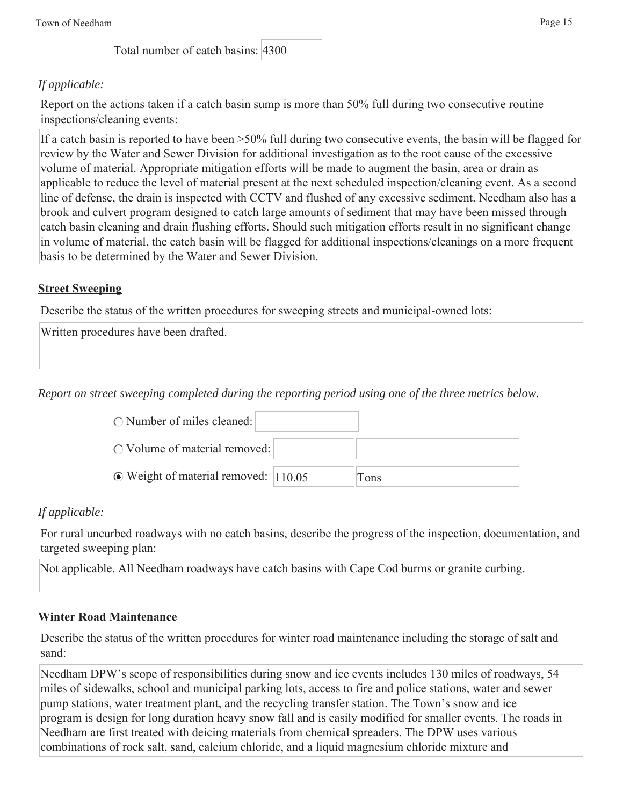Total number of catch basins: 4300

## *If applicable:*

Report on the actions taken if a catch basin sump is more than 50% full during two consecutive routine inspections/cleaning events:

If a catch basin is reported to have been >50% full during two consecutive events, the basin will be flagged for review by the Water and Sewer Division for additional investigation as to the root cause of the excessive volume of material. Appropriate mitigation efforts will be made to augment the basin, area or drain as applicable to reduce the level of material present at the next scheduled inspection/cleaning event. As a second line of defense, the drain is inspected with CCTV and flushed of any excessive sediment. Needham also has a brook and culvert program designed to catch large amounts of sediment that may have been missed through catch basin cleaning and drain flushing efforts. Should such mitigation efforts result in no significant change in volume of material, the catch basin will be flagged for additional inspections/cleanings on a more frequent basis to be determined by the Water and Sewer Division.

#### **Street Sweeping**

Describe the status of the written procedures for sweeping streets and municipal-owned lots:

Written procedures have been drafted.

*Report on street sweeping completed during the reporting period using one of the three metrics below.*

| $\bigcirc$ Number of miles cleaned:         |       |
|---------------------------------------------|-------|
| $\circ$ Volume of material removed:         |       |
| $\odot$ Weight of material removed:  110.05 | l ons |

### *If applicable:*

For rural uncurbed roadways with no catch basins, describe the progress of the inspection, documentation, and targeted sweeping plan:

Not applicable. All Needham roadways have catch basins with Cape Cod burms or granite curbing.

### **Winter Road Maintenance**

Describe the status of the written procedures for winter road maintenance including the storage of salt and sand:

Needham DPW's scope of responsibilities during snow and ice events includes 130 miles of roadways, 54 miles of sidewalks, school and municipal parking lots, access to fire and police stations, water and sewer pump stations, water treatment plant, and the recycling transfer station. The Town's snow and ice program is design for long duration heavy snow fall and is easily modified for smaller events. The roads in Needham are first treated with deicing materials from chemical spreaders. The DPW uses various combinations of rock salt, sand, calcium chloride, and a liquid magnesium chloride mixture and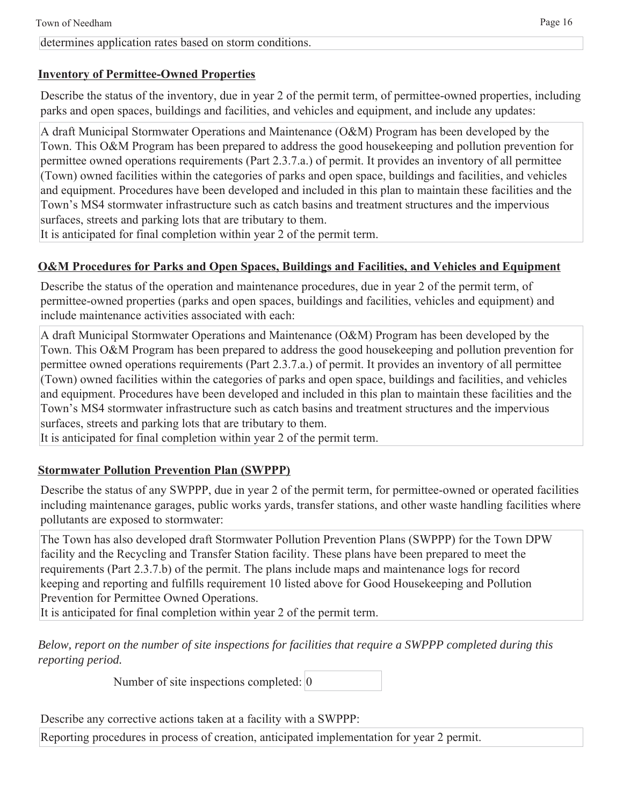#### determines application rates based on storm conditions.

#### **Inventory of Permittee-Owned Properties**

Describe the status of the inventory, due in year 2 of the permit term, of permittee-owned properties, including parks and open spaces, buildings and facilities, and vehicles and equipment, and include any updates:

A draft Municipal Stormwater Operations and Maintenance (O&M) Program has been developed by the Town. This O&M Program has been prepared to address the good housekeeping and pollution prevention for permittee owned operations requirements (Part 2.3.7.a.) of permit. It provides an inventory of all permittee (Town) owned facilities within the categories of parks and open space, buildings and facilities, and vehicles and equipment. Procedures have been developed and included in this plan to maintain these facilities and the Town's MS4 stormwater infrastructure such as catch basins and treatment structures and the impervious surfaces, streets and parking lots that are tributary to them.

It is anticipated for final completion within year 2 of the permit term.

### **O&M Procedures for Parks and Open Spaces, Buildings and Facilities, and Vehicles and Equipment**

Describe the status of the operation and maintenance procedures, due in year 2 of the permit term, of permittee-owned properties (parks and open spaces, buildings and facilities, vehicles and equipment) and include maintenance activities associated with each:

A draft Municipal Stormwater Operations and Maintenance (O&M) Program has been developed by the Town. This O&M Program has been prepared to address the good housekeeping and pollution prevention for permittee owned operations requirements (Part 2.3.7.a.) of permit. It provides an inventory of all permittee (Town) owned facilities within the categories of parks and open space, buildings and facilities, and vehicles and equipment. Procedures have been developed and included in this plan to maintain these facilities and the Town's MS4 stormwater infrastructure such as catch basins and treatment structures and the impervious surfaces, streets and parking lots that are tributary to them.

It is anticipated for final completion within year 2 of the permit term.

### **Stormwater Pollution Prevention Plan (SWPPP)**

Describe the status of any SWPPP, due in year 2 of the permit term, for permittee-owned or operated facilities including maintenance garages, public works yards, transfer stations, and other waste handling facilities where pollutants are exposed to stormwater:

The Town has also developed draft Stormwater Pollution Prevention Plans (SWPPP) for the Town DPW facility and the Recycling and Transfer Station facility. These plans have been prepared to meet the requirements (Part 2.3.7.b) of the permit. The plans include maps and maintenance logs for record keeping and reporting and fulfills requirement 10 listed above for Good Housekeeping and Pollution Prevention for Permittee Owned Operations.

It is anticipated for final completion within year 2 of the permit term.

*Below, report on the number of site inspections for facilities that require a SWPPP completed during this reporting period.*

Number of site inspections completed: 0

Describe any corrective actions taken at a facility with a SWPPP:

Reporting procedures in process of creation, anticipated implementation for year 2 permit.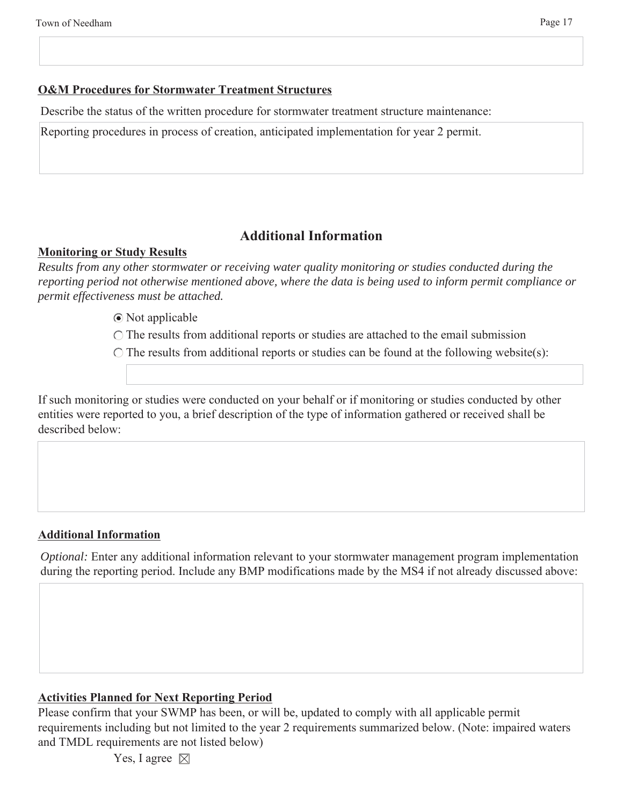#### **O&M Procedures for Stormwater Treatment Structures**

Describe the status of the written procedure for stormwater treatment structure maintenance:

Reporting procedures in process of creation, anticipated implementation for year 2 permit.

## **Additional Information**

#### **Monitoring or Study Results**

*Results from any other stormwater or receiving water quality monitoring or studies conducted during the reporting period not otherwise mentioned above, where the data is being used to inform permit compliance or permit effectiveness must be attached.*

Not applicable

 $\bigcirc$  The results from additional reports or studies are attached to the email submission

 $\bigcirc$  The results from additional reports or studies can be found at the following website(s):

If such monitoring or studies were conducted on your behalf or if monitoring or studies conducted by other entities were reported to you, a brief description of the type of information gathered or received shall be described below:

#### **Additional Information**

*Optional:* Enter any additional information relevant to your stormwater management program implementation during the reporting period. Include any BMP modifications made by the MS4 if not already discussed above:

#### **Activities Planned for Next Reporting Period**

Please confirm that your SWMP has been, or will be, updated to comply with all applicable permit requirements including but not limited to the year 2 requirements summarized below. (Note: impaired waters and TMDL requirements are not listed below)

Yes, I agree  $\boxtimes$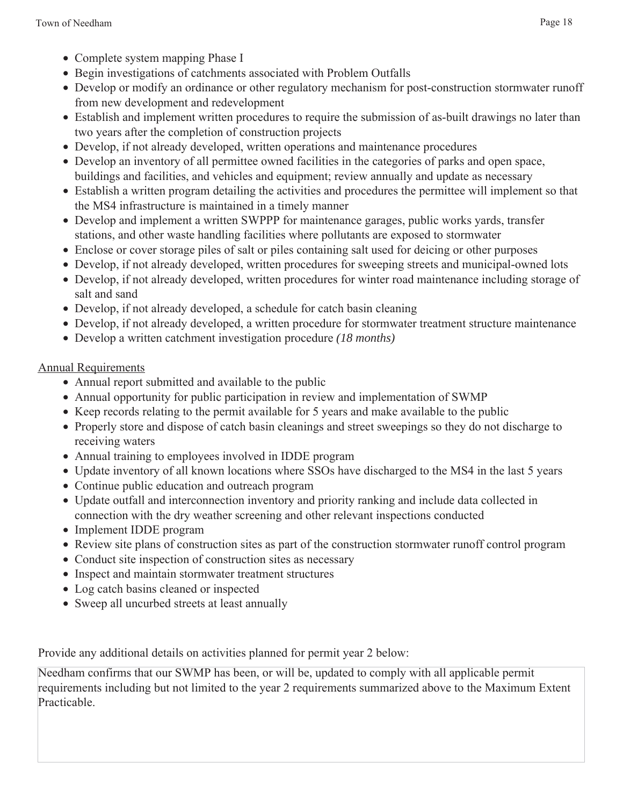- Complete system mapping Phase I
- Begin investigations of catchments associated with Problem Outfalls
- Develop or modify an ordinance or other regulatory mechanism for post-construction stormwater runoff from new development and redevelopment
- Establish and implement written procedures to require the submission of as-built drawings no later than two years after the completion of construction projects
- Develop, if not already developed, written operations and maintenance procedures
- Develop an inventory of all permittee owned facilities in the categories of parks and open space, buildings and facilities, and vehicles and equipment; review annually and update as necessary
- Establish a written program detailing the activities and procedures the permittee will implement so that the MS4 infrastructure is maintained in a timely manner
- Develop and implement a written SWPPP for maintenance garages, public works yards, transfer stations, and other waste handling facilities where pollutants are exposed to stormwater
- Enclose or cover storage piles of salt or piles containing salt used for deicing or other purposes
- Develop, if not already developed, written procedures for sweeping streets and municipal-owned lots
- Develop, if not already developed, written procedures for winter road maintenance including storage of salt and sand
- Develop, if not already developed, a schedule for catch basin cleaning
- Develop, if not already developed, a written procedure for stormwater treatment structure maintenance
- Develop a written catchment investigation procedure *(18 months)*

## Annual Requirements

- Annual report submitted and available to the public
- Annual opportunity for public participation in review and implementation of SWMP
- Keep records relating to the permit available for 5 years and make available to the public
- Properly store and dispose of catch basin cleanings and street sweepings so they do not discharge to receiving waters
- Annual training to employees involved in IDDE program
- Update inventory of all known locations where SSOs have discharged to the MS4 in the last 5 years
- Continue public education and outreach program
- Update outfall and interconnection inventory and priority ranking and include data collected in connection with the dry weather screening and other relevant inspections conducted
- Implement IDDE program
- Review site plans of construction sites as part of the construction stormwater runoff control program
- Conduct site inspection of construction sites as necessary
- Inspect and maintain stormwater treatment structures
- Log catch basins cleaned or inspected
- Sweep all uncurbed streets at least annually

Provide any additional details on activities planned for permit year 2 below:

Needham confirms that our SWMP has been, or will be, updated to comply with all applicable permit requirements including but not limited to the year 2 requirements summarized above to the Maximum Extent Practicable.